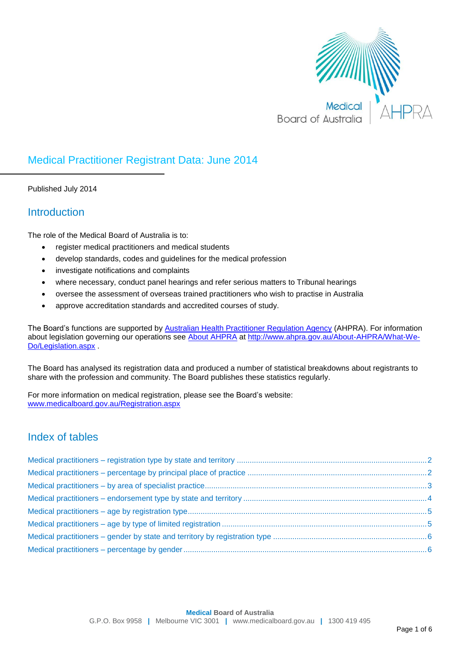

## Medical Practitioner Registrant Data: June 2014

Published July 2014

## **Introduction**

The role of the Medical Board of Australia is to:

- register medical practitioners and medical students
- develop standards, codes and guidelines for the medical profession
- investigate notifications and complaints
- where necessary, conduct panel hearings and refer serious matters to Tribunal hearings
- oversee the assessment of overseas trained practitioners who wish to practise in Australia
- approve accreditation standards and accredited courses of study.

The Board's functions are supported by [Australian Health Practitioner Regulation Agency](http://www.ahpra.gov.au/) (AHPRA). For information about legislation governing our operations see [About AHPRA](http://www.ahpra.gov.au/About-AHPRA/What-We-Do/Legislation.aspx) at [http://www.ahpra.gov.au/About-AHPRA/What-We-](http://www.ahpra.gov.au/About-AHPRA/What-We-Do/Legislation.aspx)[Do/Legislation.aspx](http://www.ahpra.gov.au/About-AHPRA/What-We-Do/Legislation.aspx) .

The Board has analysed its registration data and produced a number of statistical breakdowns about registrants to share with the profession and community. The Board publishes these statistics regularly.

For more information on medical registration, please see the Board's website: [www.medicalboard.gov.au/Registration.aspx](http://www.medicalboard.gov.au/Registration.aspx)

## Index of tables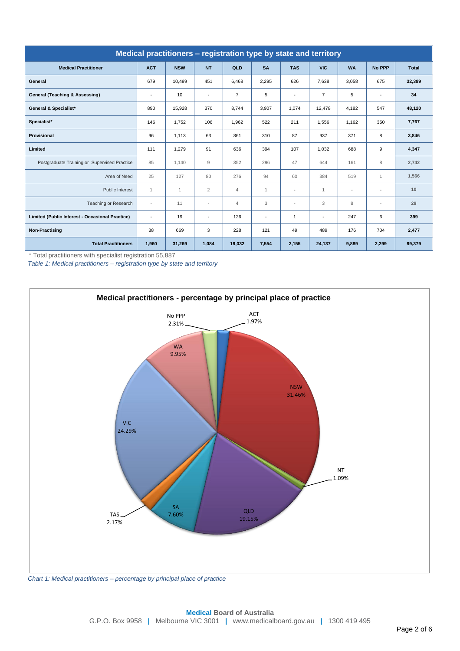<span id="page-1-0"></span>

| Medical practitioners - registration type by state and territory |                          |              |                |                |                          |                          |                          |           |                          |              |  |  |
|------------------------------------------------------------------|--------------------------|--------------|----------------|----------------|--------------------------|--------------------------|--------------------------|-----------|--------------------------|--------------|--|--|
| <b>Medical Practitioner</b>                                      | <b>ACT</b>               | <b>NSW</b>   | <b>NT</b>      | QLD            | <b>SA</b>                | <b>TAS</b>               | <b>VIC</b>               | <b>WA</b> | <b>No PPP</b>            | <b>Total</b> |  |  |
| General                                                          | 679                      | 10,499       | 451            | 6,468          | 2,295                    | 626                      | 7,638                    | 3,058     | 675                      | 32,389       |  |  |
| General (Teaching & Assessing)                                   | $\overline{\phantom{a}}$ | 10           |                | $\overline{7}$ | 5                        | $\overline{\phantom{a}}$ | $\overline{7}$           | 5         | $\overline{\phantom{a}}$ | 34           |  |  |
| <b>General &amp; Specialist*</b>                                 | 890                      | 15,928       | 370            | 8,744          | 3,907                    | 1,074                    | 12,478                   | 4,182     | 547                      | 48,120       |  |  |
| Specialist*                                                      | 146                      | 1,752        | 106            | 1,962          | 522                      | 211                      | 1,556                    | 1,162     | 350                      | 7,767        |  |  |
| <b>Provisional</b>                                               | 96                       | 1,113        | 63             | 861            | 310                      | 87                       | 937                      | 371       | 8                        | 3,846        |  |  |
| Limited                                                          | 111                      | 1,279        | 91             | 636            | 394                      | 107                      | 1,032                    | 688       | 9                        | 4,347        |  |  |
| Postgraduate Training or Supervised Practice                     | 85                       | 1.140        | 9              | 352            | 296                      | 47                       | 644                      | 161       | 8                        | 2,742        |  |  |
| Area of Need                                                     | 25                       | 127          | 80             | 276            | 94                       | 60                       | 384                      | 519       | $\mathbf{1}$             | 1,566        |  |  |
| Public Interest                                                  | $\mathbf{1}$             | $\mathbf{1}$ | $\overline{2}$ | $\overline{4}$ | 1                        | $\overline{\phantom{a}}$ | $\mathbf{1}$             | $\sim$    | $\overline{\phantom{a}}$ | 10           |  |  |
| Teaching or Research                                             | $\overline{\phantom{a}}$ | 11           |                | $\overline{4}$ | 3                        | $\overline{\phantom{a}}$ | 3                        | 8         | $\sim$                   | 29           |  |  |
| Limited (Public Interest - Occasional Practice)                  | $\overline{\phantom{a}}$ | 19           |                | 126            | $\overline{\phantom{a}}$ | $\mathbf{1}$             | $\overline{\phantom{a}}$ | 247       | 6                        | 399          |  |  |
| <b>Non-Practising</b>                                            | 38                       | 669          | 3              | 228            | 121                      | 49                       | 489                      | 176       | 704                      | 2,477        |  |  |
| <b>Total Practitioners</b>                                       | 1,960                    | 31,269       | 1,084          | 19,032         | 7,554                    | 2,155                    | 24,137                   | 9,889     | 2,299                    | 99,379       |  |  |

\* Total practitioners with specialist registration 55,887

*Table 1: Medical practitioners – registration type by state and territory*

<span id="page-1-1"></span>

*Chart 1: Medical practitioners – percentage by principal place of practice*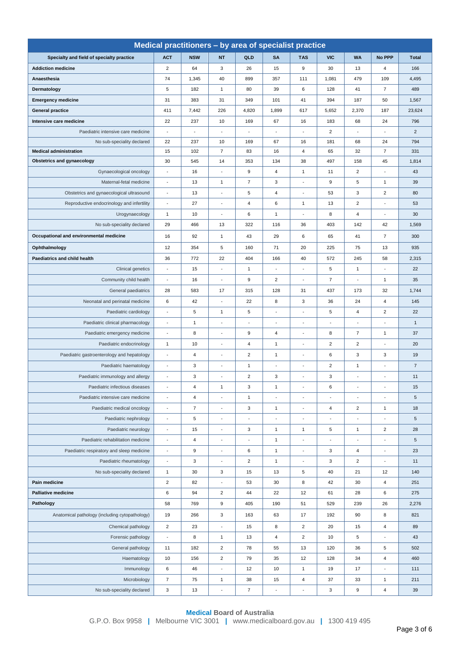<span id="page-2-0"></span>

| Medical practitioners - by area of specialist practice |                          |                          |                                 |                          |                          |                          |                          |                          |                                 |                |  |  |
|--------------------------------------------------------|--------------------------|--------------------------|---------------------------------|--------------------------|--------------------------|--------------------------|--------------------------|--------------------------|---------------------------------|----------------|--|--|
| Specialty and field of specialty practice              | <b>ACT</b>               | <b>NSW</b>               | <b>NT</b>                       | QLD                      | <b>SA</b>                | <b>TAS</b>               | <b>VIC</b>               | <b>WA</b>                | No PPP                          | <b>Total</b>   |  |  |
| <b>Addiction medicine</b>                              | $\overline{2}$           | 64                       | 3                               | 26                       | 15                       | 9                        | 30                       | 13                       | $\overline{4}$                  | 166            |  |  |
| Anaesthesia                                            | 74                       | 1,345                    | 40                              | 899                      | 357                      | 111                      | 1,081                    | 479                      | 109                             | 4,495          |  |  |
| Dermatology                                            | 5                        | 182                      | $\mathbf{1}$                    | 80                       | 39                       | 6                        | 128                      | 41                       | $\overline{7}$                  | 489            |  |  |
| <b>Emergency medicine</b>                              | 31                       | 383                      | 31                              | 349                      | 101                      | 41                       | 394                      | 187                      | 50                              | 1,567          |  |  |
| <b>General practice</b>                                | 411                      | 7,442                    | 226                             | 4,820                    | 1,899                    | 617                      | 5,652                    | 2,370                    | 187                             | 23,624         |  |  |
| Intensive care medicine                                | 22                       | 237                      | 10                              | 169                      | 67                       | 16                       | 183                      | 68                       | 24                              | 796            |  |  |
| Paediatric intensive care medicine                     | $\overline{\phantom{a}}$ | $\overline{\phantom{a}}$ | $\overline{\phantom{a}}$        | $\overline{\phantom{a}}$ | $\overline{\phantom{a}}$ | $\overline{\phantom{a}}$ | $\overline{2}$           | ÷,                       | $\overline{\phantom{a}}$        | $\overline{2}$ |  |  |
| No sub-speciality declared                             | 22                       | 237                      | 10                              | 169                      | 67                       | 16                       | 181                      | 68                       | 24                              | 794            |  |  |
| <b>Medical administration</b>                          | 15                       | 102                      | $\overline{7}$                  | 83                       | 16                       | $\overline{4}$           | 65                       | 32                       | $\overline{7}$                  | 331            |  |  |
| <b>Obstetrics and gynaecology</b>                      | 30                       | 545                      | 14                              | 353                      | 134                      | 38                       | 497                      | 158                      | 45                              | 1,814          |  |  |
| Gynaecological oncology                                | $\overline{a}$           | 16                       | $\overline{a}$                  | 9                        | 4                        | $\mathbf{1}$             | 11                       | $\overline{2}$           | $\overline{a}$                  | 43             |  |  |
| Maternal-fetal medicine                                | $\overline{\phantom{a}}$ | 13                       | $\mathbf{1}$                    | $\overline{7}$           | 3                        | $\overline{\phantom{a}}$ | 9                        | 5                        | $\mathbf{1}$                    | 39             |  |  |
| Obstetrics and gynaecological ultrasound               | $\blacksquare$           | 13                       | ÷,                              | 5                        | 4                        | $\blacksquare$           | 53                       | 3                        | $\overline{2}$                  | 80             |  |  |
| Reproductive endocrinology and infertility             | $\overline{\phantom{a}}$ | 27                       | ٠                               | 4                        | 6                        | $\mathbf{1}$             | 13                       | $\overline{2}$           | $\centering \label{eq:reduced}$ | 53             |  |  |
| Urogynaecology                                         | $\mathbf{1}$             | 10                       | ÷,                              | 6                        | 1                        |                          | 8                        | $\sqrt{4}$               |                                 | 30             |  |  |
| No sub-speciality declared                             | 29                       | 466                      | 13                              | 322                      | 116                      | 36                       | 403                      | 142                      | 42                              | 1,569          |  |  |
| Occupational and environmental medicine                | 16                       | 92                       | $\mathbf{1}$                    | 43                       | 29                       | 6                        | 65                       | 41                       | $\overline{7}$                  | 300            |  |  |
| Ophthalmology                                          | 12                       | 354                      | 5                               | 160                      | 71                       | 20                       | 225                      | 75                       | 13                              | 935            |  |  |
| Paediatrics and child health                           | 36                       | 772                      | 22                              | 404                      | 166                      | 40                       | 572                      | 245                      | 58                              | 2,315          |  |  |
| Clinical genetics                                      | ÷,                       | 15                       |                                 | $\mathbf{1}$             |                          |                          | 5                        | $\mathbf{1}$             | ÷,                              | 22             |  |  |
| Community child health                                 | $\overline{\phantom{a}}$ | 16                       | $\overline{\phantom{a}}$        | 9                        | 2                        | $\blacksquare$           | $\overline{7}$           | ÷,                       | $\mathbf{1}$                    | 35             |  |  |
| General paediatrics                                    | 28                       | 583                      | 17                              | 315                      | 128                      | 31                       | 437                      | 173                      | 32                              | 1,744          |  |  |
| Neonatal and perinatal medicine                        | 6                        | 42                       |                                 | 22                       | 8                        | 3                        | 36                       | 24                       | $\overline{4}$                  | 145            |  |  |
| Paediatric cardiology                                  | $\overline{\phantom{a}}$ | 5                        | $\mathbf{1}$                    | 5                        | ÷,                       | $\blacksquare$           | 5                        | $\overline{4}$           | $\overline{c}$                  | 22             |  |  |
| Paediatric clinical pharmacology                       | $\sim$                   | $\mathbf{1}$             | ÷                               | ٠                        | $\blacksquare$           | $\overline{\phantom{a}}$ | $\overline{a}$           | $\overline{a}$           | ÷                               | $\mathbf{1}$   |  |  |
| Paediatric emergency medicine                          | $\overline{\phantom{a}}$ | 8                        |                                 | 9                        | 4                        | $\overline{\phantom{a}}$ | 8                        | $\overline{7}$           | $\mathbf{1}$                    | 37             |  |  |
| Paediatric endocrinology                               | $\mathbf{1}$             | 10                       |                                 | 4                        | $\mathbf{1}$             |                          | $\overline{2}$           | $\overline{2}$           | ÷,                              | 20             |  |  |
| Paediatric gastroenterology and hepatology             | $\overline{\phantom{a}}$ | $\overline{4}$           | ÷                               | $\overline{\mathbf{c}}$  | $\mathbf{1}$             | $\overline{a}$           | 6                        | 3                        | 3                               | 19             |  |  |
| Paediatric haematology                                 | $\blacksquare$           | 3                        | ÷                               | $\mathbf{1}$             | $\overline{\phantom{a}}$ | $\blacksquare$           | $\overline{2}$           | $\mathbf{1}$             | $\centering \label{eq:reduced}$ | $\overline{7}$ |  |  |
| Paediatric immunology and allergy                      | ÷,                       | 3                        |                                 | $\overline{2}$           | 3                        |                          | 3                        |                          |                                 | 11             |  |  |
| Paediatric infectious diseases                         | $\blacksquare$           | 4                        | $\mathbf{1}$                    | 3                        | $\mathbf{1}$             | $\overline{\phantom{a}}$ | 6                        | $\overline{\phantom{a}}$ | $\overline{\phantom{a}}$        | 15             |  |  |
| Paediatric intensive care medicine                     | $\blacksquare$           | $\overline{4}$           | $\overline{a}$                  | $\mathbf{1}$             | $\blacksquare$           | $\blacksquare$           | $\overline{a}$           | $\blacksquare$           | $\blacksquare$                  | 5              |  |  |
| Paediatric medical oncology                            | $\overline{a}$           | $\overline{7}$           |                                 | 3                        | $\mathbf{1}$             |                          | 4                        | $\overline{2}$           | $\mathbf{1}$                    | 18             |  |  |
| Paediatric nephrology                                  | $\overline{\phantom{a}}$ | 5                        | $\overline{\phantom{a}}$        | $\overline{\phantom{a}}$ | $\overline{\phantom{a}}$ | $\overline{\phantom{a}}$ | $\overline{\phantom{a}}$ | ÷                        | $\overline{\phantom{a}}$        | 5              |  |  |
| Paediatric neurology                                   | $\overline{\phantom{a}}$ | 15                       | ÷,                              | 3                        | $\mathbf{1}$             | $\mathbf{1}$             | 5                        | $\mathbf{1}$             | $\overline{2}$                  | 28             |  |  |
| Paediatric rehabilitation medicine                     | $\blacksquare$           | $\overline{4}$           | $\centering \label{eq:reduced}$ | $\overline{\phantom{a}}$ | $\mathbf{1}$             | $\overline{\phantom{a}}$ | $\blacksquare$           | ÷,                       | $\overline{\phantom{a}}$        | 5              |  |  |
| Paediatric respiratory and sleep medicine              | ÷,                       | 9                        | ÷                               | 6                        | $\mathbf{1}$             |                          | 3                        | $\overline{\mathbf{4}}$  | ÷                               | 23             |  |  |
| Paediatric rheumatology                                | $\overline{\phantom{a}}$ | 3                        | $\overline{\phantom{a}}$        | $\overline{c}$           | $\mathbf{1}$             | $\overline{\phantom{a}}$ | 3                        | $\overline{c}$           | $\overline{\phantom{a}}$        | 11             |  |  |
| No sub-speciality declared                             | $\mathbf{1}$             | 30                       | 3                               | 15                       | 13                       | 5                        | 40                       | 21                       | 12                              | 140            |  |  |
| Pain medicine                                          | $\overline{c}$           | 82                       |                                 | 53                       | 30                       | 8                        | 42                       | 30                       | $\overline{4}$                  | 251            |  |  |
| <b>Palliative medicine</b>                             | 6                        | 94                       | $\overline{c}$                  | 44                       | 22                       | 12                       | 61                       | 28                       | 6                               | 275            |  |  |
| Pathology                                              | 58                       | 769                      | 9                               | 405                      | 190                      | 51                       | 529                      | 239                      | 26                              | 2,276          |  |  |
| Anatomical pathology (including cytopathology)         | 19                       | 266                      | 3                               | 163                      | 63                       | 17                       | 192                      | 90                       | 8                               | 821            |  |  |
| Chemical pathology                                     | $\overline{2}$           | 23                       | $\overline{a}$                  | 15                       | 8                        | $\overline{2}$           | 20                       | 15                       | 4                               | 89             |  |  |
| Forensic pathology                                     | $\blacksquare$           | 8                        | $\mathbf{1}$                    | 13                       | $\overline{4}$           | $\overline{2}$           | 10                       | 5                        | $\blacksquare$                  | 43             |  |  |
| General pathology                                      | 11                       | 182                      | $\overline{2}$                  | 78                       | 55                       | 13                       | 120                      | 36                       | 5                               | 502            |  |  |
| Haematology                                            | 10                       | 156                      | $\overline{2}$                  | 79                       | 35                       | 12                       | 128                      | 34                       | $\sqrt{4}$                      | 460            |  |  |
| Immunology                                             | 6                        | 46                       | $\overline{a}$                  | 12                       | 10                       | $\mathbf{1}$             | 19                       | 17                       | $\blacksquare$                  | 111            |  |  |
| Microbiology                                           | $\overline{7}$           | 75                       | $\mathbf{1}$                    | 38                       | 15                       | 4                        | 37                       | 33                       | $\mathbf{1}$                    | 211            |  |  |
| No sub-speciality declared                             | 3                        | 13                       | Ĭ.                              | $\overline{7}$           | $\overline{\phantom{a}}$ | $\overline{\phantom{a}}$ | 3                        | 9                        | $\overline{4}$                  | 39             |  |  |
|                                                        |                          |                          |                                 |                          |                          |                          |                          |                          |                                 |                |  |  |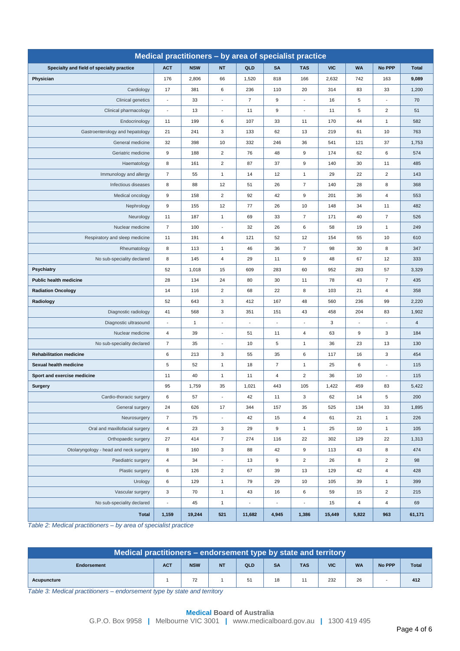| Medical practitioners - by area of specialist practice |                          |              |                           |                |                          |                  |            |                         |                |                |  |
|--------------------------------------------------------|--------------------------|--------------|---------------------------|----------------|--------------------------|------------------|------------|-------------------------|----------------|----------------|--|
| Specialty and field of specialty practice              | <b>ACT</b>               | <b>NSW</b>   | <b>NT</b>                 | QLD            | <b>SA</b>                | <b>TAS</b>       | <b>VIC</b> | <b>WA</b>               | No PPP         | <b>Total</b>   |  |
| Physician                                              | 176                      | 2,806        | 66                        | 1,520          | 818                      | 166              | 2,632      | 742                     | 163            | 9,089          |  |
| Cardiology                                             | 17                       | 381          | 6                         | 236            | 110                      | 20               | 314        | 83                      | 33             | 1,200          |  |
| Clinical genetics                                      | ÷,                       | 33           |                           | $\overline{7}$ | 9                        | ÷                | 16         | 5                       | $\overline{a}$ | 70             |  |
| Clinical pharmacology                                  | $\overline{\phantom{a}}$ | 13           | $\overline{\phantom{a}}$  | 11             | 9                        | $\blacksquare$   | 11         | 5                       | $\overline{2}$ | 51             |  |
| Endocrinology                                          | 11                       | 199          | 6                         | 107            | 33                       | 11               | 170        | 44                      | $\mathbf{1}$   | 582            |  |
| Gastroenterology and hepatology                        | 21                       | 241          | 3                         | 133            | 62                       | 13               | 219        | 61                      | 10             | 763            |  |
| General medicine                                       | 32                       | 398          | 10                        | 332            | 246                      | 36               | 541        | 121                     | 37             | 1,753          |  |
| Geriatric medicine                                     | 9                        | 188          | $\overline{c}$            | 76             | 48                       | 9                | 174        | 62                      | 6              | 574            |  |
| Haematology                                            | 8                        | 161          | $\overline{2}$            | 87             | 37                       | 9                | 140        | 30                      | 11             | 485            |  |
| Immunology and allergy                                 | $\overline{7}$           | 55           | $\mathbf{1}$              | 14             | 12                       | $\mathbf{1}$     | 29         | 22                      | $\overline{2}$ | 143            |  |
| Infectious diseases                                    | 8                        | 88           | 12                        | 51             | 26                       | $\overline{7}$   | 140        | 28                      | 8              | 368            |  |
| Medical oncology                                       | $\boldsymbol{9}$         | 158          | $\overline{c}$            | 92             | 42                       | 9                | 201        | 36                      | 4              | 553            |  |
| Nephrology                                             | 9                        | 155          | 12                        | 77             | 26                       | 10               | 148        | 34                      | 11             | 482            |  |
| Neurology                                              | 11                       | 187          | $\mathbf{1}$              | 69             | 33                       | $\overline{7}$   | 171        | 40                      | $\overline{7}$ | 526            |  |
| Nuclear medicine                                       | $\overline{7}$           | 100          | $\overline{\phantom{a}}$  | 32             | 26                       | 6                | 58         | 19                      | $\mathbf{1}$   | 249            |  |
| Respiratory and sleep medicine                         | 11                       | 191          | 4                         | 121            | 52                       | 12               | 154        | 55                      | 10             | 610            |  |
| Rheumatology                                           | 8                        | 113          | $\mathbf{1}$              | 46             | 36                       | $\overline{7}$   | 98         | 30                      | 8              | 347            |  |
| No sub-speciality declared                             | 8                        | 145          | 4                         | 29             | 11                       | 9                | 48         | 67                      | 12             | 333            |  |
| <b>Psychiatry</b>                                      | 52                       | 1,018        | 15                        | 609            | 283                      | 60               | 952        | 283                     | 57             | 3,329          |  |
| <b>Public health medicine</b>                          | 28                       | 134          | 24                        | 80             | 30                       | 11               | 78         | 43                      | $\overline{7}$ | 435            |  |
| <b>Radiation Oncology</b>                              | 14                       | 116          | $\overline{2}$            | 68             | 22                       | 8                | 103        | 21                      | 4              | 358            |  |
| Radiology                                              | 52                       | 643          | 3                         | 412            | 167                      | 48               | 560        | 236                     | 99             | 2,220          |  |
| Diagnostic radiology                                   | 41                       | 568          | 3                         | 351            | 151                      | 43               | 458        | 204                     | 83             | 1,902          |  |
| Diagnostic ultrasound                                  | L.                       | $\mathbf{1}$ |                           | ÷              |                          | ÷                | 3          |                         | ٠              | $\overline{4}$ |  |
| Nuclear medicine                                       | $\overline{4}$           | 39           | $\sim$                    | 51             | 11                       | 4                | 63         | 9                       | 3              | 184            |  |
| No sub-speciality declared                             | $\overline{7}$           | 35           |                           | 10             | 5                        | $\mathbf{1}$     | 36         | 23                      | 13             | 130            |  |
| <b>Rehabilitation medicine</b>                         | 6                        | 213          | 3                         | 55             | 35                       | 6                | 117        | 16                      | 3              | 454            |  |
| Sexual health medicine                                 | 5                        | 52           | 1                         | 18             | $\overline{7}$           | $\mathbf{1}$     | 25         | 6                       |                | 115            |  |
| Sport and exercise medicine                            | 11                       | 40           | 1                         | 11             | 4                        | $\overline{c}$   | 36         | 10                      | $\blacksquare$ | 115            |  |
| <b>Surgery</b>                                         | 95                       | 1,759        | 35                        | 1,021          | 443                      | 105              | 1,422      | 459                     | 83             | 5,422          |  |
| Cardio-thoracic surgery                                | 6                        | 57           |                           | 42             | 11                       | 3                | 62         | 14                      | 5              | 200            |  |
| General surgery                                        | 24                       | 626          | 17                        | 344            | 157                      | 35               | 525        | 134                     | 33             | 1,895          |  |
| Neurosurgery                                           | $\overline{7}$           | 75           | $\overline{\phantom{a}}$  | 42             | 15                       | $\overline{4}$   | 61         | 21                      | $\mathbf{1}$   | 226            |  |
| Oral and maxillofacial surgery                         | $\sqrt{4}$               | 23           | 3                         | 29             | 9                        | $\mathbf{1}$     | 25         | 10                      | $\mathbf{1}$   | 105            |  |
| Orthopaedic surgery                                    | 27                       | 414          | $\overline{7}$            | 274            | 116                      | 22               | 302        | 129                     | 22             | 1,313          |  |
| Otolaryngology - head and neck surgery                 | 8                        | 160          | $\ensuremath{\mathsf{3}}$ | 88             | 42                       | $\boldsymbol{9}$ | 113        | 43                      | 8              | 474            |  |
| Paediatric surgery                                     | $\sqrt{4}$               | 34           | $\blacksquare$            | 13             | 9                        | $\overline{2}$   | 26         | 8                       | $\overline{2}$ | 98             |  |
| Plastic surgery                                        | 6                        | 126          | $\overline{\mathbf{c}}$   | 67             | 39                       | 13               | 129        | 42                      | 4              | 428            |  |
| Urology                                                | $\,6$                    | 129          | $\mathbf{1}$              | 79             | 29                       | 10               | 105        | 39                      | $\mathbf{1}$   | 399            |  |
| Vascular surgery                                       | $\mathbf 3$              | 70           | $\mathbf{1}$              | 43             | 16                       | $\,6\,$          | 59         | 15                      | $\overline{2}$ | 215            |  |
| No sub-speciality declared                             | $\Box$                   | 45           | $\mathbf{1}$              | $\blacksquare$ | $\overline{\phantom{a}}$ | ÷,               | 15         | $\overline{\mathbf{4}}$ | 4              | 69             |  |
| <b>Total</b>                                           | 1,159                    | 19,244       | 521                       | 11,682         | 4,945                    | 1,386            | 15,449     | 5,822                   | 963            | 61,171         |  |

*Table 2: Medical practitioners – by area of specialist practice*

<span id="page-3-0"></span>

| Medical practitioners – endorsement type by state and territory |            |            |           |     |           |            |            |           |               |              |  |
|-----------------------------------------------------------------|------------|------------|-----------|-----|-----------|------------|------------|-----------|---------------|--------------|--|
| <b>Endorsement</b>                                              | <b>ACT</b> | <b>NSW</b> | <b>NT</b> | QLD | <b>SA</b> | <b>TAS</b> | <b>VIC</b> | <b>WA</b> | <b>No PPP</b> | <b>Total</b> |  |
| Acupuncture                                                     |            | 72<br>ے ا  |           | 51  | 18        |            | 232        | 26        |               | 412          |  |

*Table 3: Medical practitioners – endorsement type by state and territory*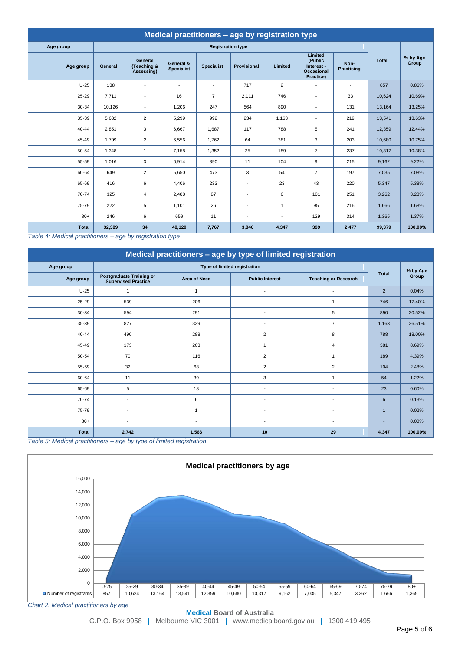<span id="page-4-0"></span>

| <b>Medical practitioners - age by registration type</b> |         |                                      |                                |                          |                          |                |                                                             |                           |              |                   |  |  |
|---------------------------------------------------------|---------|--------------------------------------|--------------------------------|--------------------------|--------------------------|----------------|-------------------------------------------------------------|---------------------------|--------------|-------------------|--|--|
| Age group                                               |         |                                      |                                | <b>Registration type</b> |                          |                |                                                             |                           |              |                   |  |  |
| Age group                                               | General | General<br>(Teaching &<br>Assessing) | General &<br><b>Specialist</b> | <b>Specialist</b>        | <b>Provisional</b>       | Limited        | Limited<br>(Public<br>Interest -<br>Occasional<br>Practice) | Non-<br><b>Practising</b> | <b>Total</b> | % by Age<br>Group |  |  |
| $U-25$                                                  | 138     | $\blacksquare$                       | $\sim$                         | $\overline{\phantom{a}}$ | 717                      | $\overline{2}$ | $\overline{\phantom{a}}$                                    | $\blacksquare$            | 857          | 0.86%             |  |  |
| $25 - 29$                                               | 7,711   | $\blacksquare$                       | 16                             | $\overline{7}$           | 2,111                    | 746            | $\overline{\phantom{a}}$                                    | 33                        | 10,624       | 10.69%            |  |  |
| 30-34                                                   | 10,126  | $\blacksquare$                       | 1,206                          | 247                      | 564                      | 890            | $\overline{a}$                                              | 131                       | 13,164       | 13.25%            |  |  |
| 35-39                                                   | 5,632   | $\overline{2}$                       | 5,299                          | 992                      | 234                      | 1,163          | $\overline{\phantom{a}}$                                    | 219                       | 13,541       | 13.63%            |  |  |
| $40 - 44$                                               | 2,851   | 3                                    | 6.667                          | 1,687                    | 117                      | 788            | 5                                                           | 241                       | 12,359       | 12.44%            |  |  |
| 45-49                                                   | 1,709   | $\overline{2}$                       | 6,556                          | 1,762                    | 64                       | 381            | 3                                                           | 203                       | 10,680       | 10.75%            |  |  |
| 50-54                                                   | 1,348   | $\mathbf{1}$                         | 7.158                          | 1,352                    | 25                       | 189            | $\overline{7}$                                              | 237                       | 10,317       | 10.38%            |  |  |
| 55-59                                                   | 1,016   | 3                                    | 6,914                          | 890                      | 11                       | 104            | 9                                                           | 215                       | 9,162        | 9.22%             |  |  |
| 60-64                                                   | 649     | $\overline{2}$                       | 5,650                          | 473                      | 3                        | 54             | $\overline{7}$                                              | 197                       | 7,035        | 7.08%             |  |  |
| 65-69                                                   | 416     | 6                                    | 4,406                          | 233                      | $\overline{\phantom{a}}$ | 23             | 43                                                          | 220                       | 5,347        | 5.38%             |  |  |
| 70-74                                                   | 325     | $\overline{4}$                       | 2,488                          | 87                       | $\blacksquare$           | 6              | 101                                                         | 251                       | 3,262        | 3.28%             |  |  |
| 75-79                                                   | 222     | 5                                    | 1.101                          | 26                       | $\blacksquare$           | 1              | 95                                                          | 216                       | 1,666        | 1.68%             |  |  |
| $80+$                                                   | 246     | 6                                    | 659                            | 11                       | $\blacksquare$           | $\overline{a}$ | 129                                                         | 314                       | 1,365        | 1.37%             |  |  |
| <b>Total</b>                                            | 32,389  | 34                                   | 48,120                         | 7,767                    | 3,846                    | 4,347          | 399                                                         | 2,477                     | 99,379       | 100.00%           |  |  |

*Table 4: Medical practitioners – age by registration type*

<span id="page-4-1"></span>

| Medical practitioners - age by type of limited registration |                                                               |                          |                              |                             |                          |          |  |  |  |  |  |
|-------------------------------------------------------------|---------------------------------------------------------------|--------------------------|------------------------------|-----------------------------|--------------------------|----------|--|--|--|--|--|
| Age group                                                   |                                                               |                          | Type of limited registration |                             |                          | % by Age |  |  |  |  |  |
| Age group                                                   | <b>Postgraduate Training or</b><br><b>Supervised Practice</b> | <b>Area of Need</b>      | <b>Public Interest</b>       | <b>Teaching or Research</b> | <b>Total</b>             | Group    |  |  |  |  |  |
| $U-25$                                                      | $\overline{1}$                                                | 1                        |                              | $\overline{\phantom{a}}$    | $\overline{2}$           | 0.04%    |  |  |  |  |  |
| 25-29                                                       | 539                                                           | 206                      |                              | 1                           | 746                      | 17.40%   |  |  |  |  |  |
| 30-34                                                       | 594                                                           | 291                      |                              | 5                           | 890                      | 20.52%   |  |  |  |  |  |
| 35-39                                                       | 827                                                           | 329                      |                              | $\overline{7}$              | 1,163                    | 26.51%   |  |  |  |  |  |
| $40 - 44$                                                   | 490                                                           | 288                      | $\overline{2}$               | 8                           | 788                      | 18.00%   |  |  |  |  |  |
| 45-49                                                       | 173                                                           | 203                      | $\mathbf{1}$                 | $\overline{4}$              | 381                      | 8.69%    |  |  |  |  |  |
| 50-54                                                       | 70                                                            | 116                      | $\overline{2}$               | $\overline{1}$              | 189                      | 4.39%    |  |  |  |  |  |
| 55-59                                                       | 32                                                            | 68                       | $\overline{2}$               | $\overline{2}$              | 104                      | 2.48%    |  |  |  |  |  |
| 60-64                                                       | 11                                                            | 39                       | 3                            | $\mathbf{1}$                | 54                       | 1.22%    |  |  |  |  |  |
| 65-69                                                       | 5                                                             | 18                       |                              | ٠                           | 23                       | 0.60%    |  |  |  |  |  |
| 70-74                                                       | $\overline{a}$                                                | 6                        |                              |                             | $6\phantom{a}$           | 0.13%    |  |  |  |  |  |
| 75-79                                                       |                                                               |                          |                              |                             | $\mathbf{1}$             | 0.02%    |  |  |  |  |  |
| $80+$                                                       |                                                               | $\overline{\phantom{a}}$ |                              | $\overline{a}$              | $\overline{\phantom{a}}$ | 0.00%    |  |  |  |  |  |
| <b>Total</b>                                                | 2,742                                                         | 1,566                    | 10                           | 29                          | 4,347                    | 100.00%  |  |  |  |  |  |

*Table 5: Medical practitioners – age by type of limited registration*



*Chart 2: Medical practitioners by age*